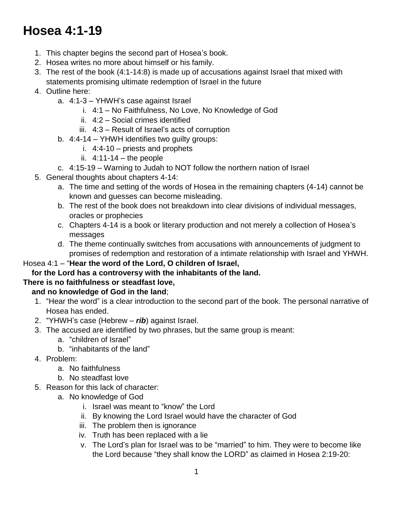# **Hosea 4:1-19**

- 1. This chapter begins the second part of Hosea's book.
- 2. Hosea writes no more about himself or his family.
- 3. The rest of the book (4:1-14:8) is made up of accusations against Israel that mixed with statements promising ultimate redemption of Israel in the future
- 4. Outline here:
	- a. 4:1-3 YHWH's case against Israel
		- i. 4:1 No Faithfulness, No Love, No Knowledge of God
		- ii. 4:2 Social crimes identified
		- iii. 4:3 Result of Israel's acts of corruption
	- b. 4:4-14 YHWH identifies two guilty groups:
		- i. 4:4-10 priests and prophets
		- ii.  $4:11-14$  the people
	- c. 4:15-19 Warning to Judah to NOT follow the northern nation of Israel
- 5. General thoughts about chapters 4-14:
	- a. The time and setting of the words of Hosea in the remaining chapters (4-14) cannot be known and guesses can become misleading.
	- b. The rest of the book does not breakdown into clear divisions of individual messages, oracles or prophecies
	- c. Chapters 4-14 is a book or literary production and not merely a collection of Hosea's messages
	- d. The theme continually switches from accusations with announcements of judgment to promises of redemption and restoration of a intimate relationship with Israel and YHWH.

#### Hosea 4:1 – "**Hear the word of the Lord, O children of Israel,**

#### **for the Lord has a controversy with the inhabitants of the land.**

#### **There is no faithfulness or steadfast love,**

#### **and no knowledge of God in the land**;

- 1. "Hear the word" is a clear introduction to the second part of the book. The personal narrative of Hosea has ended.
- 2. "YHWH's case (Hebrew *rib*) against Israel.
- 3. The accused are identified by two phrases, but the same group is meant:
	- a. "children of Israel"
	- b. "inhabitants of the land"
- 4. Problem:
	- a. No faithfulness
	- b. No steadfast love
- 5. Reason for this lack of character:
	- a. No knowledge of God
		- i. Israel was meant to "know" the Lord
		- ii. By knowing the Lord Israel would have the character of God
		- iii. The problem then is ignorance
		- iv. Truth has been replaced with a lie
		- v. The Lord's plan for Israel was to be "married" to him. They were to become like the Lord because "they shall know the LORD" as claimed in Hosea 2:19-20: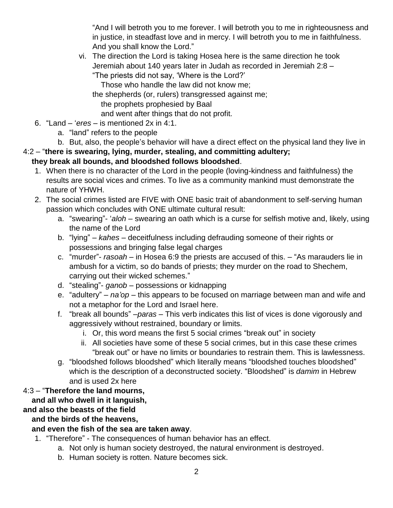"And I will betroth you to me forever. I will betroth you to me in righteousness and in justice, in steadfast love and in mercy. I will betroth you to me in faithfulness. And you shall know the Lord."

vi. The direction the Lord is taking Hosea here is the same direction he took Jeremiah about 140 years later in Judah as recorded in Jeremiah 2:8 – "The priests did not say, 'Where is the Lord?'

Those who handle the law did not know me;

the shepherds (or, rulers) transgressed against me; the prophets prophesied by Baal

and went after things that do not profit.

- 6. "Land '*eres* is mentioned 2x in 4:1.
	- a. "land" refers to the people
	- b. But, also, the people's behavior will have a direct effect on the physical land they live in

## 4:2 – "**there is swearing, lying, murder, stealing, and committing adultery;**

## **they break all bounds, and bloodshed follows bloodshed**.

- 1. When there is no character of the Lord in the people (loving-kindness and faithfulness) the results are social vices and crimes. To live as a community mankind must demonstrate the nature of YHWH.
- 2. The social crimes listed are FIVE with ONE basic trait of abandonment to self-serving human passion which concludes with ONE ultimate cultural result:
	- a. "swearing"- '*aloh* swearing an oath which is a curse for selfish motive and, likely, using the name of the Lord
	- b. "lying" *kahes* deceitfulness including defrauding someone of their rights or possessions and bringing false legal charges
	- c. "murder"- *rasoah* in Hosea 6:9 the priests are accused of this. "As marauders lie in ambush for a victim, so do bands of priests; they murder on the road to Shechem, carrying out their wicked schemes."
	- d. "stealing"- *ganob* possessions or kidnapping
	- e. "adultery" *na'op* this appears to be focused on marriage between man and wife and not a metaphor for the Lord and Israel here.
	- f. "break all bounds" –*paras* This verb indicates this list of vices is done vigorously and aggressively without restrained, boundary or limits.
		- i. Or, this word means the first 5 social crimes "break out" in society
		- ii. All societies have some of these 5 social crimes, but in this case these crimes "break out" or have no limits or boundaries to restrain them. This is lawlessness.
	- g. "bloodshed follows bloodshed" which literally means "bloodshed touches bloodshed" which is the description of a deconstructed society. "Bloodshed" is *damim* in Hebrew and is used 2x here

## 4:3 – "**Therefore the land mourns,**

## **and all who dwell in it languish,**

## **and also the beasts of the field**

## **and the birds of the heavens,**

## **and even the fish of the sea are taken away**.

- 1. "Therefore" The consequences of human behavior has an effect.
	- a. Not only is human society destroyed, the natural environment is destroyed.
	- b. Human society is rotten. Nature becomes sick.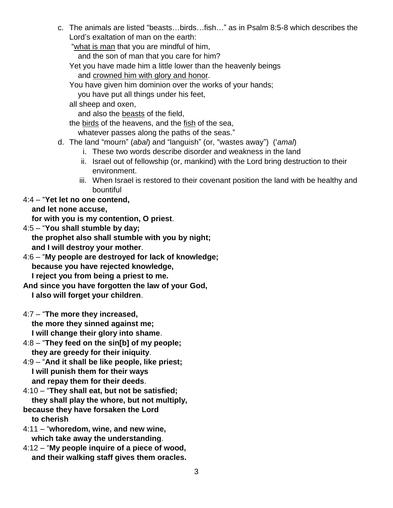c. The animals are listed "beasts…birds…fish…" as in Psalm 8:5-8 which describes the Lord's exaltation of man on the earth:

"what is man that you are mindful of him,

and the son of man that you care for him?

Yet you have made him a little lower than the heavenly beings and crowned him with glory and honor.

You have given him dominion over the works of your hands;

you have put all things under his feet,

all sheep and oxen,

and also the beasts of the field,

the birds of the heavens, and the fish of the sea,

whatever passes along the paths of the seas."

- d. The land "mourn" (*abal*) and "languish" (or, "wastes away") ('*amal*)
	- i. These two words describe disorder and weakness in the land
	- ii. Israel out of fellowship (or, mankind) with the Lord bring destruction to their environment.
	- iii. When Israel is restored to their covenant position the land with be healthy and bountiful

## 4:4 – "**Yet let no one contend,**

 **and let none accuse,**

 **for with you is my contention, O priest**.

4:5 – "**You shall stumble by day; the prophet also shall stumble with you by night;**

- **and I will destroy your mother**.
- 4:6 "**My people are destroyed for lack of knowledge; because you have rejected knowledge, I reject you from being a priest to me.**
- **And since you have forgotten the law of your God, I also will forget your children**.
- 4:7 "**The more they increased, the more they sinned against me; I will change their glory into shame**.
- 4:8 "**They feed on the sin[b] of my people; they are greedy for their iniquity**.
- 4:9 "**And it shall be like people, like priest; I will punish them for their ways and repay them for their deeds**.
- 4:10 "**They shall eat, but not be satisfied; they shall play the whore, but not multiply,**
- **because they have forsaken the Lord to cherish**
- 4:11 "**whoredom, wine, and new wine, which take away the understanding**.
- 4:12 "**My people inquire of a piece of wood, and their walking staff gives them oracles.**